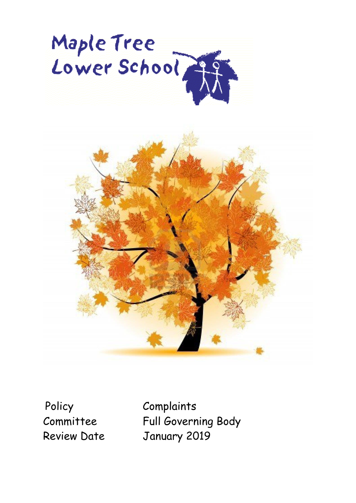



Policy Complaints

Committee Full Governing Body Review Date January 2019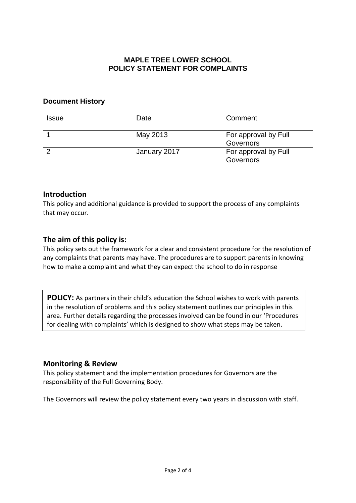#### **MAPLE TREE LOWER SCHOOL POLICY STATEMENT FOR COMPLAINTS**

#### **Document History**

| <b>Issue</b> | Date         | Comment                           |
|--------------|--------------|-----------------------------------|
|              | May 2013     | For approval by Full<br>Governors |
|              | January 2017 | For approval by Full<br>Governors |

#### **Introduction**

This policy and additional guidance is provided to support the process of any complaints that may occur.

## **The aim of this policy is:**

This policy sets out the framework for a clear and consistent procedure for the resolution of any complaints that parents may have. The procedures are to support parents in knowing how to make a complaint and what they can expect the school to do in response

**POLICY:** As partners in their child's education the School wishes to work with parents in the resolution of problems and this policy statement outlines our principles in this area. Further details regarding the processes involved can be found in our 'Procedures for dealing with complaints' which is designed to show what steps may be taken.

## **Monitoring & Review**

This policy statement and the implementation procedures for Governors are the responsibility of the Full Governing Body.

The Governors will review the policy statement every two years in discussion with staff.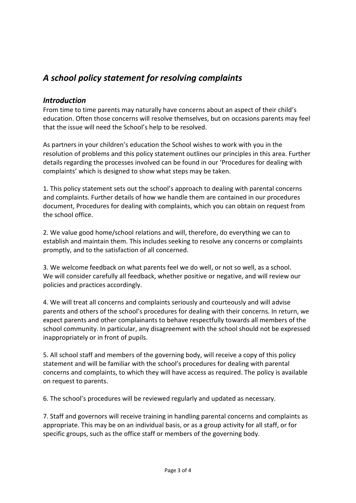# *A school policy statement for resolving complaints*

### *Introduction*

From time to time parents may naturally have concerns about an aspect of their child's education. Often those concerns will resolve themselves, but on occasions parents may feel that the issue will need the School's help to be resolved.

As partners in your children's education the School wishes to work with you in the resolution of problems and this policy statement outlines our principles in this area. Further details regarding the processes involved can be found in our 'Procedures for dealing with complaints' which is designed to show what steps may be taken.

1. This policy statement sets out the school's approach to dealing with parental concerns and complaints. Further details of how we handle them are contained in our procedures document, Procedures for dealing with complaints, which you can obtain on request from the school office.

2. We value good home/school relations and will, therefore, do everything we can to establish and maintain them. This includes seeking to resolve any concerns or complaints promptly, and to the satisfaction of all concerned.

3. We welcome feedback on what parents feel we do well, or not so well, as a school. We will consider carefully all feedback, whether positive or negative, and will review our policies and practices accordingly.

4. We will treat all concerns and complaints seriously and courteously and will advise parents and others of the school's procedures for dealing with their concerns. In return, we expect parents and other complainants to behave respectfully towards all members of the school community. In particular, any disagreement with the school should not be expressed inappropriately or in front of pupils.

5. All school staff and members of the governing body, will receive a copy of this policy statement and will be familiar with the school's procedures for dealing with parental concerns and complaints, to which they will have access as required. The policy is available on request to parents.

6. The school's procedures will be reviewed regularly and updated as necessary.

7. Staff and governors will receive training in handling parental concerns and complaints as appropriate. This may be on an individual basis, or as a group activity for all staff, or for specific groups, such as the office staff or members of the governing body.